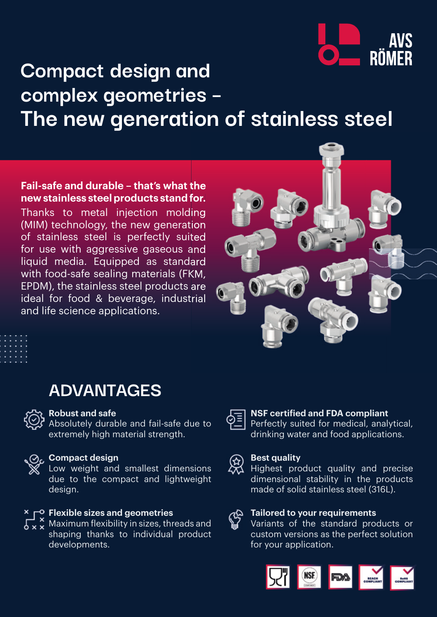

# **Compact design and complex geometries – The new generation of stainless steel**

**Fail-safe and durable – that's what the new stainless steel products stand for.** Thanks to metal injection molding (MIM) technology, the new generation of stainless steel is perfectly suited for use with aggressive gaseous and liquid media. Equipped as standard with food-safe sealing materials (FKM,

EPDM), the stainless steel products are ideal for food & beverage, industrial and life science applications.



## **ADVANTAGES**



### **Robust and safe**

Absolutely durable and fail-safe due to extremely high material strength.

### **Compact design**

Low weight and smallest dimensions due to the compact and lightweight design.

### **Flexible sizes and geometries**

 $\begin{array}{c} 0.1 \times 0.1 \times 0.0000 \times 0.00000 \end{array}$  Maximum flexibility in sizes, threads and shaping thanks to individual product developments.

### **NSF certified and FDA compliant** Perfectly suited for medical, analytical,

drinking water and food applications.



ঞ

### **Best quality**

Highest product quality and precise dimensional stability in the products made of solid stainless steel (316L).

### **Tailored to your requirements**

Variants of the standard products or custom versions as the perfect solution for your application.